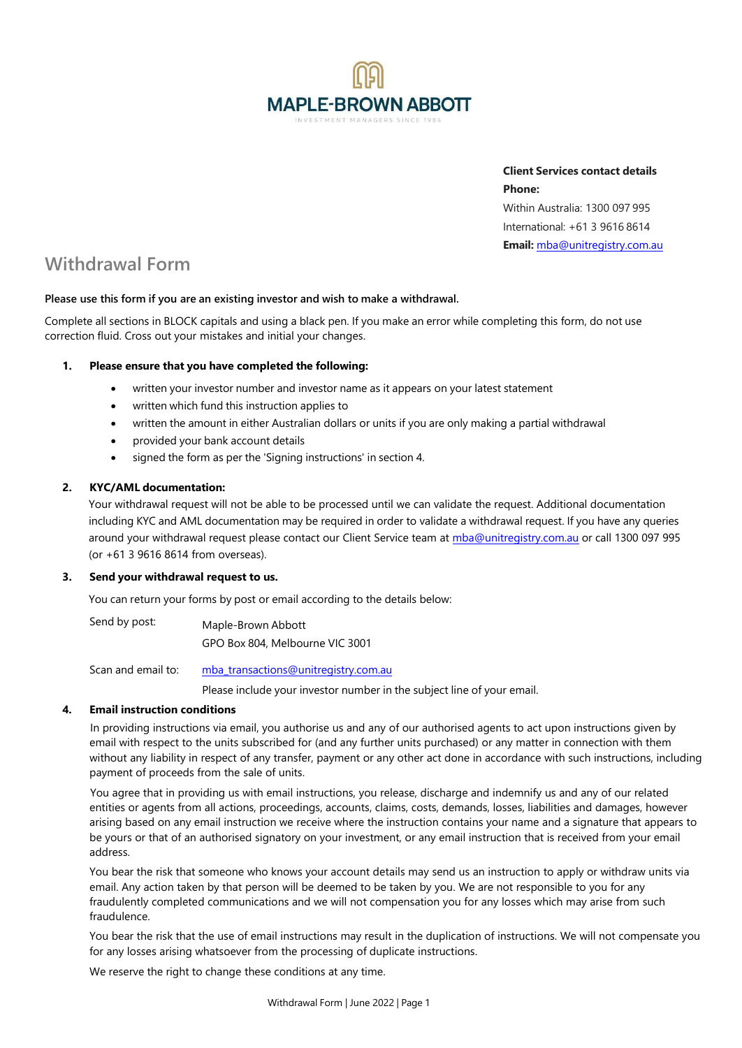

**Client Services contact details Phone:** Within Australia: 1300 097 995 International: +61 3 9616 8614 **Email:** mba@unitregistry.com.au

# **Withdrawal Form**

# **Please use this form if you are an existing investor and wish to make a withdrawal.**

Complete all sections in BLOCK capitals and using a black pen. If you make an error while completing this form, do not use correction fluid. Cross out your mistakes and initial your changes.

# **1. Please ensure that you have completed the following:**

- written your investor number and investor name as it appears on your latest statement
- written which fund this instruction applies to
- written the amount in either Australian dollars or units if you are only making a partial withdrawal
- provided your bank account details
- signed the form as per the 'Signing instructions' in section 4.

# **2. KYC/AML documentation:**

Your withdrawal request will not be able to be processed until we can validate the request. Additional documentation including KYC and AML documentation may be required in order to validate a withdrawal request. If you have any queries around your withdrawal request please contact our Client Service team at mba@unitregistry.com.au or call 1300 097 995 (or +61 3 9616 8614 from overseas).

#### **3. Send your withdrawal request to us.**

You can return your forms by post or email according to the details below:

Send by post: Maple-Brown Abbott GPO Box 804, Melbourne VIC 3001

Scan and email to: mba\_transactions@unitregistry.com.au

Please include your investor number in the subject line of your email.

# **4. Email instruction conditions**

In providing instructions via email, you authorise us and any of our authorised agents to act upon instructions given by email with respect to the units subscribed for (and any further units purchased) or any matter in connection with them without any liability in respect of any transfer, payment or any other act done in accordance with such instructions, including payment of proceeds from the sale of units.

You agree that in providing us with email instructions, you release, discharge and indemnify us and any of our related entities or agents from all actions, proceedings, accounts, claims, costs, demands, losses, liabilities and damages, however arising based on any email instruction we receive where the instruction contains your name and a signature that appears to be yours or that of an authorised signatory on your investment, or any email instruction that is received from your email address.

You bear the risk that someone who knows your account details may send us an instruction to apply or withdraw units via email. Any action taken by that person will be deemed to be taken by you. We are not responsible to you for any fraudulently completed communications and we will not compensation you for any losses which may arise from such fraudulence.

You bear the risk that the use of email instructions may result in the duplication of instructions. We will not compensate you for any losses arising whatsoever from the processing of duplicate instructions.

We reserve the right to change these conditions at any time.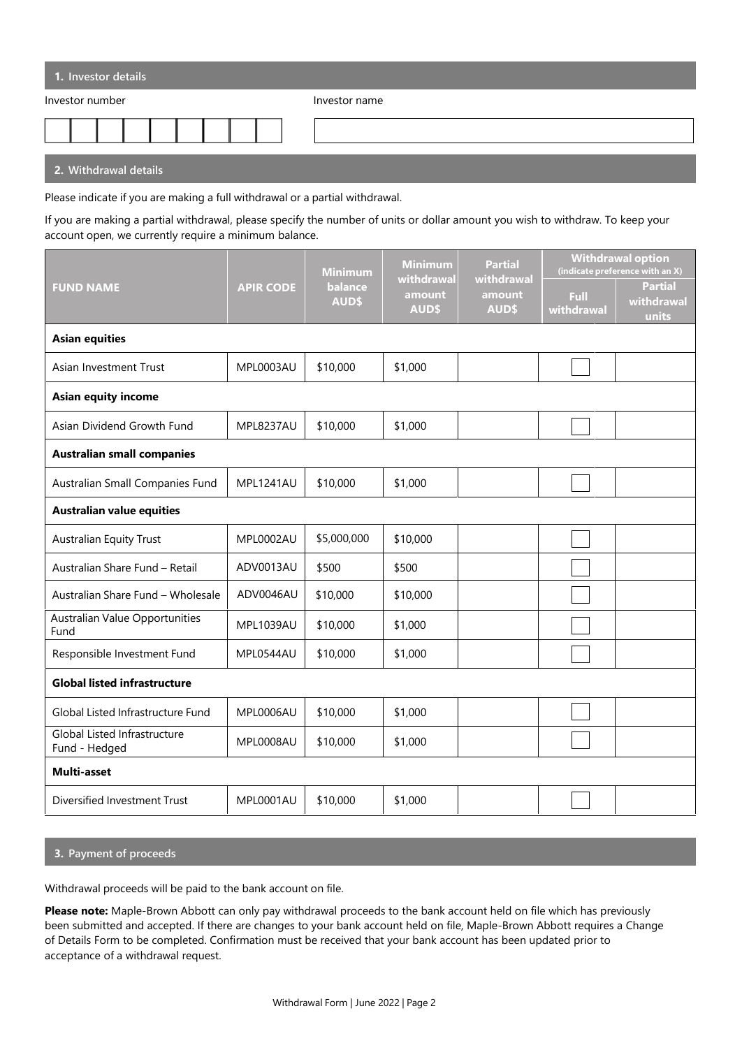| 1. Investor details                                                                                                  |               |
|----------------------------------------------------------------------------------------------------------------------|---------------|
| Investor number                                                                                                      | Investor name |
|                                                                                                                      |               |
| <b>COMPANY And All And All And All And All And All And All And All And All And All And All And All And All And A</b> |               |

**2. Withdrawal details**

Please indicate if you are making a full withdrawal or a partial withdrawal.

If you are making a partial withdrawal, please specify the number of units or dollar amount you wish to withdraw. To keep your account open, we currently require a minimum balance.

| <b>FUND NAME</b>                              | <b>APIR CODE</b> | <b>Minimum</b><br>balance<br><b>AUD\$</b> | <b>Minimum</b><br>withdrawal<br>amount<br><b>AUD\$</b> | <b>Partial</b><br>withdrawal<br>amount<br><b>AUD\$</b> | <b>Withdrawal option</b><br>(indicate preference with an X) |                                |  |  |
|-----------------------------------------------|------------------|-------------------------------------------|--------------------------------------------------------|--------------------------------------------------------|-------------------------------------------------------------|--------------------------------|--|--|
|                                               |                  |                                           |                                                        |                                                        | Full<br>withdrawal                                          | Partial<br>withdrawal<br>units |  |  |
| <b>Asian equities</b>                         |                  |                                           |                                                        |                                                        |                                                             |                                |  |  |
| Asian Investment Trust                        | <b>MPL0003AU</b> | \$10,000                                  | \$1,000                                                |                                                        |                                                             |                                |  |  |
| <b>Asian equity income</b>                    |                  |                                           |                                                        |                                                        |                                                             |                                |  |  |
| Asian Dividend Growth Fund                    | MPL8237AU        | \$10,000                                  | \$1,000                                                |                                                        |                                                             |                                |  |  |
| <b>Australian small companies</b>             |                  |                                           |                                                        |                                                        |                                                             |                                |  |  |
| Australian Small Companies Fund               | MPL1241AU        | \$10,000                                  | \$1,000                                                |                                                        |                                                             |                                |  |  |
| <b>Australian value equities</b>              |                  |                                           |                                                        |                                                        |                                                             |                                |  |  |
| <b>Australian Equity Trust</b>                | <b>MPL0002AU</b> | \$5,000,000                               | \$10,000                                               |                                                        |                                                             |                                |  |  |
| Australian Share Fund - Retail                | ADV0013AU        | \$500                                     | \$500                                                  |                                                        |                                                             |                                |  |  |
| Australian Share Fund - Wholesale             | ADV0046AU        | \$10,000                                  | \$10,000                                               |                                                        |                                                             |                                |  |  |
| Australian Value Opportunities<br>Fund        | MPL1039AU        | \$10,000                                  | \$1,000                                                |                                                        |                                                             |                                |  |  |
| Responsible Investment Fund                   | MPL0544AU        | \$10,000                                  | \$1,000                                                |                                                        |                                                             |                                |  |  |
| <b>Global listed infrastructure</b>           |                  |                                           |                                                        |                                                        |                                                             |                                |  |  |
| Global Listed Infrastructure Fund             | MPL0006AU        | \$10,000                                  | \$1,000                                                |                                                        |                                                             |                                |  |  |
| Global Listed Infrastructure<br>Fund - Hedged | MPL0008AU        | \$10,000                                  | \$1,000                                                |                                                        |                                                             |                                |  |  |
| Multi-asset                                   |                  |                                           |                                                        |                                                        |                                                             |                                |  |  |
| Diversified Investment Trust                  | MPL0001AU        | \$10,000                                  | \$1,000                                                |                                                        |                                                             |                                |  |  |

# **3. Payment of proceeds**

Withdrawal proceeds will be paid to the bank account on file.

**Please note:** Maple-Brown Abbott can only pay withdrawal proceeds to the bank account held on file which has previously been submitted and accepted. If there are changes to your bank account held on file, Maple-Brown Abbott requires a Change of Details Form to be completed. Confirmation must be received that your bank account has been updated prior to acceptance of a withdrawal request.